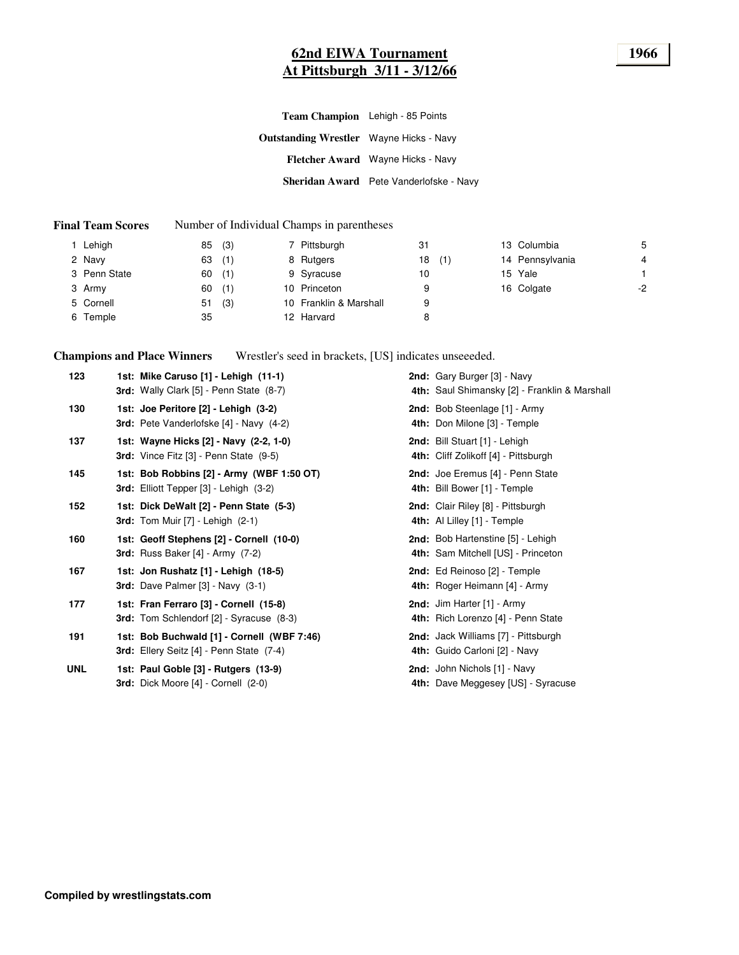# **62nd EIWA Tournament 1966 At Pittsburgh 3/11 - 3/12/66**

|                                                | Team Champion Lehigh - 85 Points        |
|------------------------------------------------|-----------------------------------------|
| <b>Outstanding Wrestler</b> Wayne Hicks - Navy |                                         |
|                                                | Fletcher Award Wayne Hicks - Navy       |
|                                                | Sheridan Award Pete Vanderlofske - Navy |

#### **Final Team Scores** Number of Individual Champs in parentheses

| Lehigh       | 85 | (3) | 7 Pittsburgh           | 31 |     | 13 Columbia     | 5  |
|--------------|----|-----|------------------------|----|-----|-----------------|----|
| 2 Navy       | 63 | (1) | 8 Rutgers              | 18 | (1) | 14 Pennsylvania | 4  |
| 3 Penn State | 60 | (1) | 9 Syracuse             | 10 |     | 15 Yale         |    |
| 3 Army       | 60 | (1) | 10 Princeton           | 9  |     | 16 Colgate      | -2 |
| 5 Cornell    | 51 | (3) | 10 Franklin & Marshall | 9  |     |                 |    |
| 6 Temple     | 35 |     | 12 Harvard             | 8  |     |                 |    |
|              |    |     |                        |    |     |                 |    |

**Champions and Place Winners** Wrestler's seed in brackets, [US] indicates unseeeded.

| 123        | 1st: Mike Caruso [1] - Lehigh (11-1)<br>3rd: Wally Clark [5] - Penn State (8-7)               | 2nd: Gary Burger [3] - Navy<br>4th: Saul Shimansky [2] - Franklin & Marshall |
|------------|-----------------------------------------------------------------------------------------------|------------------------------------------------------------------------------|
| 130        | 1st: Joe Peritore [2] - Lehigh (3-2)<br>3rd: Pete Vanderlofske [4] - Navy (4-2)               | 2nd: Bob Steenlage [1] - Army<br>4th: Don Milone [3] - Temple                |
| 137        | 1st: Wayne Hicks [2] - Navy (2-2, 1-0)<br><b>3rd:</b> Vince Fitz $[3]$ - Penn State $(9-5)$   | 2nd: Bill Stuart [1] - Lehigh<br>4th: Cliff Zolikoff [4] - Pittsburgh        |
| 145        | 1st: Bob Robbins [2] - Army (WBF 1:50 OT)<br>3rd: Elliott Tepper [3] - Lehigh (3-2)           | 2nd: Joe Eremus [4] - Penn State<br>4th: Bill Bower [1] - Temple             |
| 152        | 1st: Dick DeWalt [2] - Penn State (5-3)<br><b>3rd:</b> Tom Muir [7] - Lehigh (2-1)            | 2nd: Clair Riley [8] - Pittsburgh<br>4th: Al Lilley [1] - Temple             |
| 160        | 1st: Geoff Stephens [2] - Cornell (10-0)<br>3rd: Russ Baker $[4]$ - Army $(7-2)$              | 2nd: Bob Hartenstine [5] - Lehigh<br>4th: Sam Mitchell [US] - Princeton      |
| 167        | 1st: Jon Rushatz [1] - Lehigh (18-5)<br><b>3rd:</b> Dave Palmer $[3]$ - Navy $(3-1)$          | 2nd: Ed Reinoso [2] - Temple<br>4th: Roger Heimann [4] - Army                |
| 177        | 1st: Fran Ferraro [3] - Cornell (15-8)<br>3rd: Tom Schlendorf [2] - Syracuse (8-3)            | 2nd: Jim Harter [1] - Army<br>4th: Rich Lorenzo [4] - Penn State             |
| 191        | 1st: Bob Buchwald [1] - Cornell (WBF 7:46)<br><b>3rd:</b> Ellery Seitz [4] - Penn State (7-4) | 2nd: Jack Williams [7] - Pittsburgh<br>4th: Guido Carloni [2] - Navy         |
| <b>UNL</b> | 1st: Paul Goble [3] - Rutgers (13-9)<br>3rd: Dick Moore [4] - Cornell (2-0)                   | 2nd: John Nichols [1] - Navy<br>4th: Dave Meggesey [US] - Syracuse           |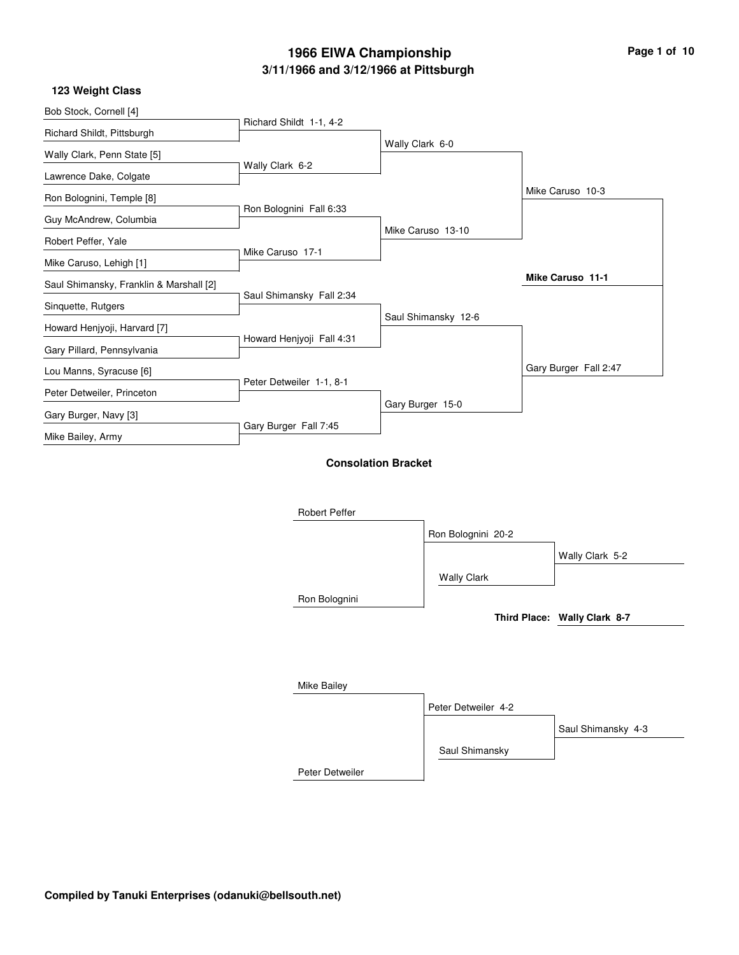| Page 1 of 10 |  |  |
|--------------|--|--|
|              |  |  |

|                           |                                                                     | Mike Caruso 10-3                                                  |
|---------------------------|---------------------------------------------------------------------|-------------------------------------------------------------------|
| Ron Bolognini Fall 6:33   |                                                                     |                                                                   |
|                           | Mike Caruso 13-10                                                   |                                                                   |
| Mike Caruso 17-1          |                                                                     |                                                                   |
|                           |                                                                     | <b>Mike Caruso 11-1</b>                                           |
| Saul Shimansky Fall 2:34  |                                                                     |                                                                   |
|                           | Saul Shimansky 12-6                                                 |                                                                   |
| Howard Henjyoji Fall 4:31 |                                                                     |                                                                   |
|                           |                                                                     | Gary Burger Fall 2:47                                             |
| Peter Detweiler 1-1, 8-1  |                                                                     |                                                                   |
|                           |                                                                     |                                                                   |
|                           |                                                                     |                                                                   |
|                           |                                                                     |                                                                   |
|                           |                                                                     |                                                                   |
|                           |                                                                     |                                                                   |
| <b>Robert Peffer</b>      |                                                                     |                                                                   |
|                           | Richard Shildt 1-1, 4-2<br>Wally Clark 6-2<br>Gary Burger Fall 7:45 | Wally Clark 6-0<br>Gary Burger 15-0<br><b>Consolation Bracket</b> |

|                 | Ron Bolognini 20-2  |                              |
|-----------------|---------------------|------------------------------|
|                 |                     | Wally Clark 5-2              |
|                 | <b>Wally Clark</b>  |                              |
| Ron Bolognini   |                     |                              |
|                 |                     | Third Place: Wally Clark 8-7 |
|                 |                     |                              |
|                 |                     |                              |
| Mike Bailey     |                     |                              |
|                 | Peter Detweiler 4-2 |                              |
|                 |                     | Saul Shimansky 4-3           |
|                 | Saul Shimansky      |                              |
| Peter Detweiler |                     |                              |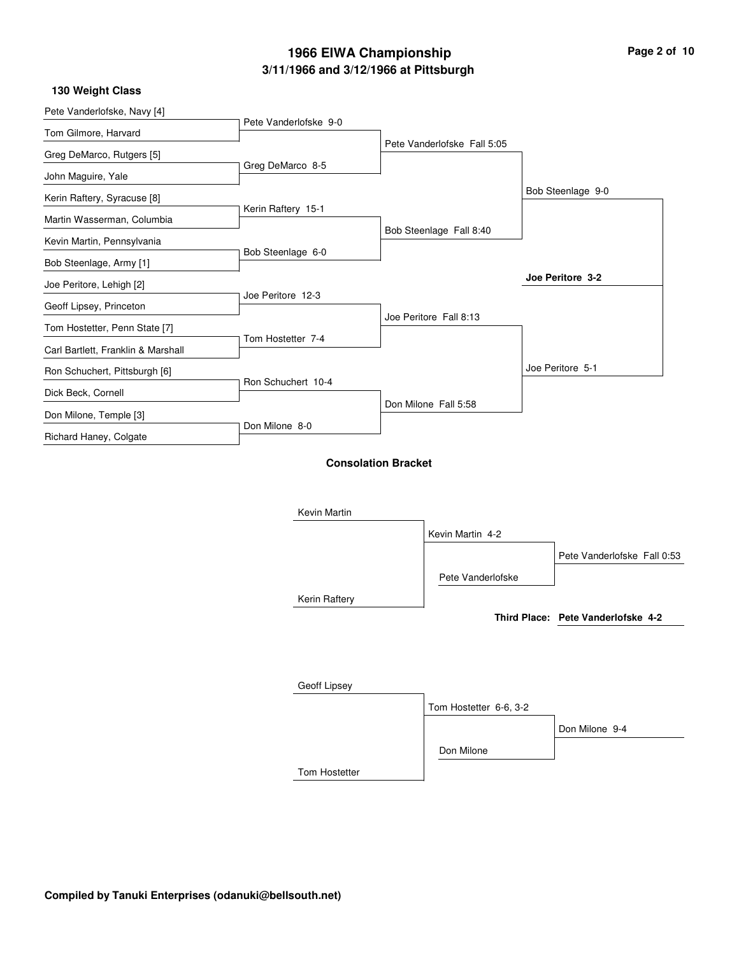#### **130 Weight Class**

| Pete Vanderlofske, Navy [4]        |                       |                            |                             |                                    |
|------------------------------------|-----------------------|----------------------------|-----------------------------|------------------------------------|
| Tom Gilmore, Harvard               | Pete Vanderlofske 9-0 |                            |                             |                                    |
| Greg DeMarco, Rutgers [5]          |                       |                            | Pete Vanderlofske Fall 5:05 |                                    |
| John Maguire, Yale                 | Greg DeMarco 8-5      |                            |                             |                                    |
| Kerin Raftery, Syracuse [8]        |                       |                            |                             | Bob Steenlage 9-0                  |
| Martin Wasserman, Columbia         | Kerin Raftery 15-1    |                            |                             |                                    |
|                                    |                       |                            | Bob Steenlage Fall 8:40     |                                    |
| Kevin Martin, Pennsylvania         | Bob Steenlage 6-0     |                            |                             |                                    |
| Bob Steenlage, Army [1]            |                       |                            |                             | Joe Peritore 3-2                   |
| Joe Peritore, Lehigh [2]           | Joe Peritore 12-3     |                            |                             |                                    |
| Geoff Lipsey, Princeton            |                       |                            | Joe Peritore Fall 8:13      |                                    |
| Tom Hostetter, Penn State [7]      |                       |                            |                             |                                    |
| Carl Bartlett, Franklin & Marshall | Tom Hostetter 7-4     |                            |                             |                                    |
| Ron Schuchert, Pittsburgh [6]      |                       |                            |                             | Joe Peritore 5-1                   |
| Dick Beck, Cornell                 | Ron Schuchert 10-4    |                            |                             |                                    |
| Don Milone, Temple [3]             |                       |                            | Don Milone Fall 5:58        |                                    |
| Richard Haney, Colgate             | Don Milone 8-0        |                            |                             |                                    |
|                                    |                       | <b>Consolation Bracket</b> |                             |                                    |
|                                    | Kevin Martin          |                            |                             |                                    |
|                                    |                       |                            | Kevin Martin 4-2            |                                    |
|                                    |                       |                            |                             | Pete Vanderlofske Fall 0:53        |
|                                    |                       |                            | Pete Vanderlofske           |                                    |
|                                    | Kerin Raftery         |                            |                             |                                    |
|                                    |                       |                            |                             | Third Place: Pete Vanderlofske 4-2 |
|                                    |                       |                            |                             |                                    |
|                                    | Geoff Lipsey          |                            |                             |                                    |
|                                    |                       |                            | Tom Hostetter 6-6, 3-2      |                                    |
|                                    |                       |                            |                             |                                    |

Don Milone

Don Milone 9-4

Tom Hostetter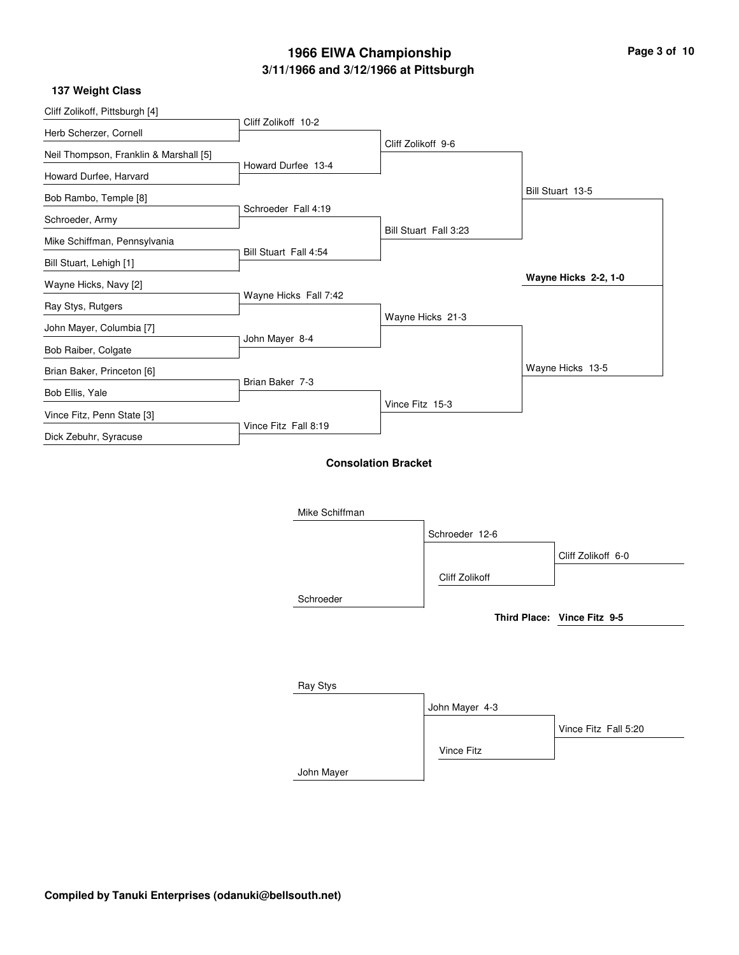L

| Cliff Zolikoff, Pittsburgh [4]         |                       |                            |                |                             |
|----------------------------------------|-----------------------|----------------------------|----------------|-----------------------------|
| Herb Scherzer, Cornell                 | Cliff Zolikoff 10-2   |                            |                |                             |
| Neil Thompson, Franklin & Marshall [5] |                       | Cliff Zolikoff 9-6         |                |                             |
| Howard Durfee, Harvard                 | Howard Durfee 13-4    |                            |                |                             |
| Bob Rambo, Temple [8]                  |                       |                            |                | Bill Stuart 13-5            |
| Schroeder, Army                        | Schroeder Fall 4:19   |                            |                |                             |
| Mike Schiffman, Pennsylvania           |                       | Bill Stuart Fall 3:23      |                |                             |
| Bill Stuart, Lehigh [1]                | Bill Stuart Fall 4:54 |                            |                |                             |
| Wayne Hicks, Navy [2]                  |                       |                            |                | Wayne Hicks 2-2, 1-0        |
| Ray Stys, Rutgers                      | Wayne Hicks Fall 7:42 |                            |                |                             |
| John Mayer, Columbia [7]               |                       | Wayne Hicks 21-3           |                |                             |
|                                        | John Mayer 8-4        |                            |                |                             |
| Bob Raiber, Colgate                    |                       |                            |                | Wayne Hicks 13-5            |
| Brian Baker, Princeton [6]             | Brian Baker 7-3       |                            |                |                             |
| Bob Ellis, Yale                        |                       | Vince Fitz 15-3            |                |                             |
| Vince Fitz, Penn State [3]             | Vince Fitz Fall 8:19  |                            |                |                             |
| Dick Zebuhr, Syracuse                  |                       |                            |                |                             |
|                                        |                       | <b>Consolation Bracket</b> |                |                             |
|                                        |                       |                            |                |                             |
|                                        | Mike Schiffman        |                            |                |                             |
|                                        |                       |                            | Schroeder 12-6 |                             |
|                                        |                       |                            |                |                             |
|                                        |                       |                            |                | Cliff Zolikoff 6-0          |
|                                        |                       |                            | Cliff Zolikoff |                             |
|                                        | Schroeder             |                            |                |                             |
|                                        |                       |                            |                | Third Place: Vince Fitz 9-5 |

| Ray Stys   |                |                      |
|------------|----------------|----------------------|
|            | John Mayer 4-3 |                      |
|            |                | Vince Fitz Fall 5:20 |
|            | Vince Fitz     |                      |
| John Mayer |                |                      |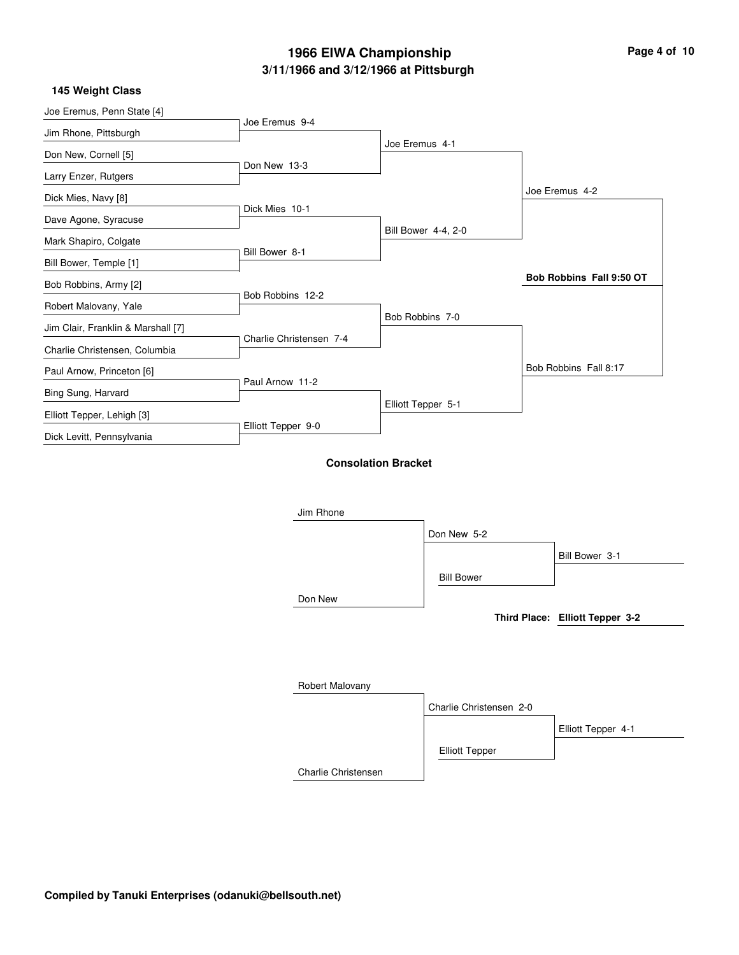| Page 4 of 10 |  |  |  |  |  |
|--------------|--|--|--|--|--|
|--------------|--|--|--|--|--|

 $\overline{\phantom{0}}$ 

| Joe Eremus, Penn State [4]         | Joe Eremus 9-4          |                            |                         |                                 |
|------------------------------------|-------------------------|----------------------------|-------------------------|---------------------------------|
| Jim Rhone, Pittsburgh              |                         |                            |                         |                                 |
| Don New, Cornell [5]               |                         | Joe Eremus 4-1             |                         |                                 |
| Larry Enzer, Rutgers               | Don New 13-3            |                            |                         |                                 |
| Dick Mies, Navy [8]                |                         |                            |                         | Joe Eremus 4-2                  |
| Dave Agone, Syracuse               | Dick Mies 10-1          |                            |                         |                                 |
| Mark Shapiro, Colgate              |                         |                            | Bill Bower 4-4, 2-0     |                                 |
| Bill Bower, Temple [1]             | Bill Bower 8-1          |                            |                         |                                 |
| Bob Robbins, Army [2]              |                         |                            |                         | Bob Robbins Fall 9:50 OT        |
| Robert Malovany, Yale              | Bob Robbins 12-2        |                            |                         |                                 |
| Jim Clair, Franklin & Marshall [7] |                         |                            | Bob Robbins 7-0         |                                 |
| Charlie Christensen, Columbia      | Charlie Christensen 7-4 |                            |                         |                                 |
| Paul Arnow, Princeton [6]          |                         |                            |                         | Bob Robbins Fall 8:17           |
| Bing Sung, Harvard                 | Paul Arnow 11-2         |                            |                         |                                 |
| Elliott Tepper, Lehigh [3]         |                         |                            | Elliott Tepper 5-1      |                                 |
| Dick Levitt, Pennsylvania          | Elliott Tepper 9-0      |                            |                         |                                 |
|                                    |                         |                            |                         |                                 |
|                                    |                         | <b>Consolation Bracket</b> |                         |                                 |
|                                    |                         |                            |                         |                                 |
|                                    | Jim Rhone               |                            |                         |                                 |
|                                    |                         |                            | Don New 5-2             |                                 |
|                                    |                         |                            |                         | Bill Bower 3-1                  |
|                                    |                         |                            | <b>Bill Bower</b>       |                                 |
|                                    | Don New                 |                            |                         |                                 |
|                                    |                         |                            |                         | Third Place: Elliott Tepper 3-2 |
|                                    |                         |                            |                         |                                 |
|                                    |                         |                            |                         |                                 |
|                                    | Robert Malovany         |                            |                         |                                 |
|                                    |                         |                            | Charlie Christensen 2-0 |                                 |
|                                    |                         |                            |                         | Elliott Tepper 4-1              |
|                                    |                         |                            | <b>Elliott Tepper</b>   |                                 |
|                                    | Charlie Christensen     |                            |                         |                                 |
|                                    |                         |                            |                         |                                 |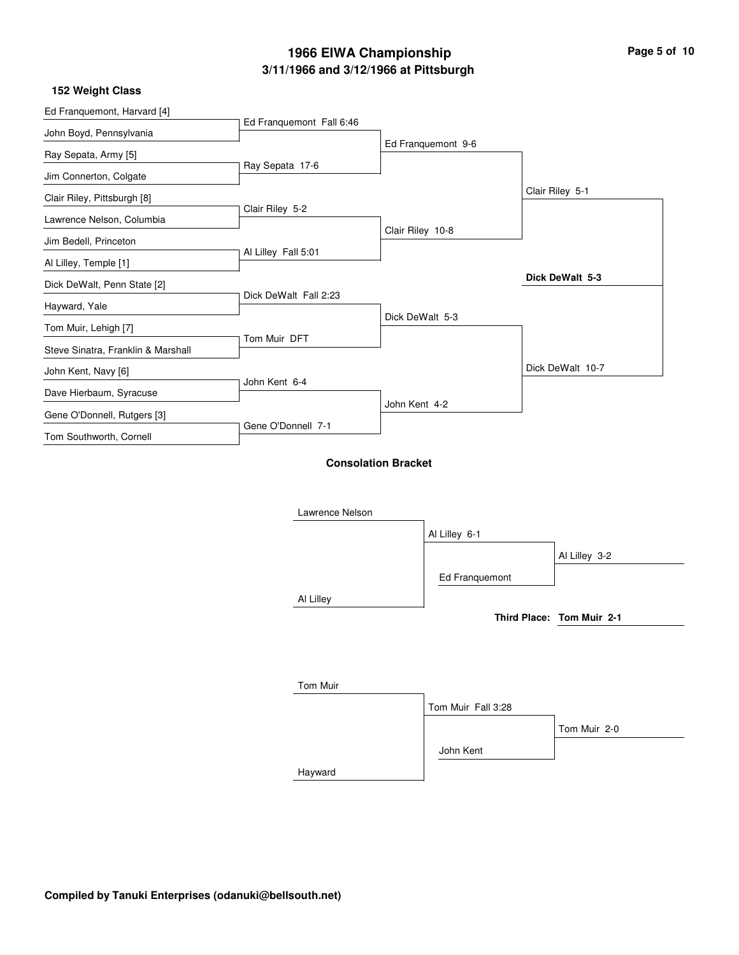$\overline{\phantom{0}}$ 

#### **152 Weight Class**

| Ed Franquemont, Harvard [4]        |                          |                            |                    |                           |
|------------------------------------|--------------------------|----------------------------|--------------------|---------------------------|
| John Boyd, Pennsylvania            | Ed Franquemont Fall 6:46 |                            |                    |                           |
| Ray Sepata, Army [5]               |                          |                            | Ed Franquemont 9-6 |                           |
| Jim Connerton, Colgate             | Ray Sepata 17-6          |                            |                    |                           |
| Clair Riley, Pittsburgh [8]        |                          |                            |                    | Clair Riley 5-1           |
| Lawrence Nelson, Columbia          | Clair Riley 5-2          |                            |                    |                           |
| Jim Bedell, Princeton              |                          | Clair Riley 10-8           |                    |                           |
| Al Lilley, Temple [1]              | Al Lilley Fall 5:01      |                            |                    |                           |
| Dick DeWalt, Penn State [2]        |                          |                            |                    | Dick DeWalt 5-3           |
| Hayward, Yale                      | Dick DeWalt Fall 2:23    |                            |                    |                           |
| Tom Muir, Lehigh [7]               |                          | Dick DeWalt 5-3            |                    |                           |
| Steve Sinatra, Franklin & Marshall | Tom Muir DFT             |                            |                    |                           |
| John Kent, Navy [6]                |                          |                            |                    | Dick DeWalt 10-7          |
| Dave Hierbaum, Syracuse            | John Kent 6-4            |                            |                    |                           |
| Gene O'Donnell, Rutgers [3]        |                          | John Kent 4-2              |                    |                           |
| Tom Southworth, Cornell            | Gene O'Donnell 7-1       |                            |                    |                           |
|                                    |                          | <b>Consolation Bracket</b> |                    |                           |
|                                    | Lawrence Nelson          |                            |                    |                           |
|                                    |                          |                            | Al Lilley 6-1      |                           |
|                                    |                          |                            |                    | Al Lilley 3-2             |
|                                    |                          |                            | Ed Franquemont     |                           |
|                                    | Al Lilley                |                            |                    |                           |
|                                    |                          |                            |                    | Third Place: Tom Muir 2-1 |
|                                    |                          |                            |                    |                           |
|                                    |                          |                            |                    |                           |
|                                    | <b>Tom Muir</b>          |                            |                    |                           |

Hayward Tom Muir Fall 3:28 John Kent Tom Muir 2-0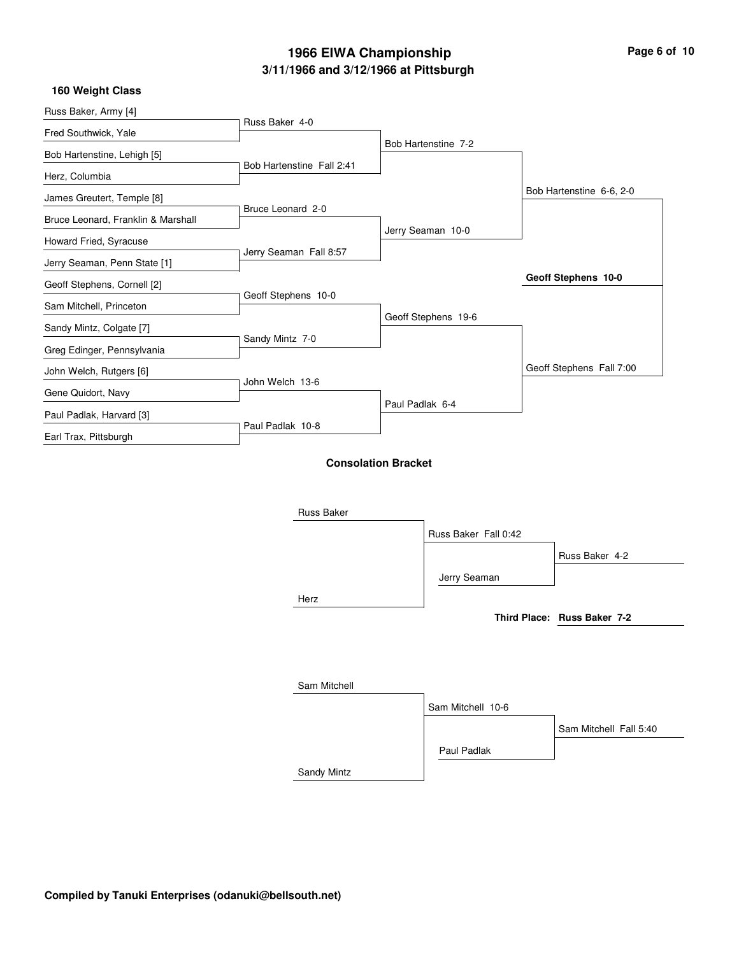| Page 6 of 10 |  |  |
|--------------|--|--|
|              |  |  |

| Russ Baker, Army [4]                                        |                           |                            |                          |
|-------------------------------------------------------------|---------------------------|----------------------------|--------------------------|
| Fred Southwick, Yale                                        | Russ Baker 4-0            |                            |                          |
| Bob Hartenstine, Lehigh [5]                                 |                           | Bob Hartenstine 7-2        |                          |
| Herz, Columbia                                              | Bob Hartenstine Fall 2:41 |                            |                          |
| James Greutert, Temple [8]                                  |                           |                            | Bob Hartenstine 6-6, 2-0 |
| Bruce Leonard, Franklin & Marshall                          | Bruce Leonard 2-0         |                            |                          |
|                                                             |                           | Jerry Seaman 10-0          |                          |
| Howard Fried, Syracuse                                      | Jerry Seaman Fall 8:57    |                            |                          |
| Jerry Seaman, Penn State [1]<br>Geoff Stephens, Cornell [2] |                           |                            | Geoff Stephens 10-0      |
| Sam Mitchell, Princeton                                     | Geoff Stephens 10-0       |                            |                          |
| Sandy Mintz, Colgate [7]                                    |                           | Geoff Stephens 19-6        |                          |
| Greg Edinger, Pennsylvania                                  | Sandy Mintz 7-0           |                            |                          |
| John Welch, Rutgers [6]                                     |                           |                            | Geoff Stephens Fall 7:00 |
| Gene Quidort, Navy                                          | John Welch 13-6           |                            |                          |
| Paul Padlak, Harvard [3]                                    |                           | Paul Padlak 6-4            |                          |
| Earl Trax, Pittsburgh                                       | Paul Padlak 10-8          |                            |                          |
|                                                             |                           | <b>Consolation Bracket</b> |                          |
|                                                             | Russ Baker                |                            |                          |

|              | Russ Baker Fall 0:42 |                             |
|--------------|----------------------|-----------------------------|
|              |                      | Russ Baker 4-2              |
|              | Jerry Seaman         |                             |
| Herz         |                      |                             |
|              |                      | Third Place: Russ Baker 7-2 |
|              |                      |                             |
|              |                      |                             |
|              |                      |                             |
| Sam Mitchell |                      |                             |
|              | Sam Mitchell 10-6    |                             |
|              |                      | Sam Mitchell Fall 5:40      |
|              | Paul Padlak          |                             |
| Sandy Mintz  |                      |                             |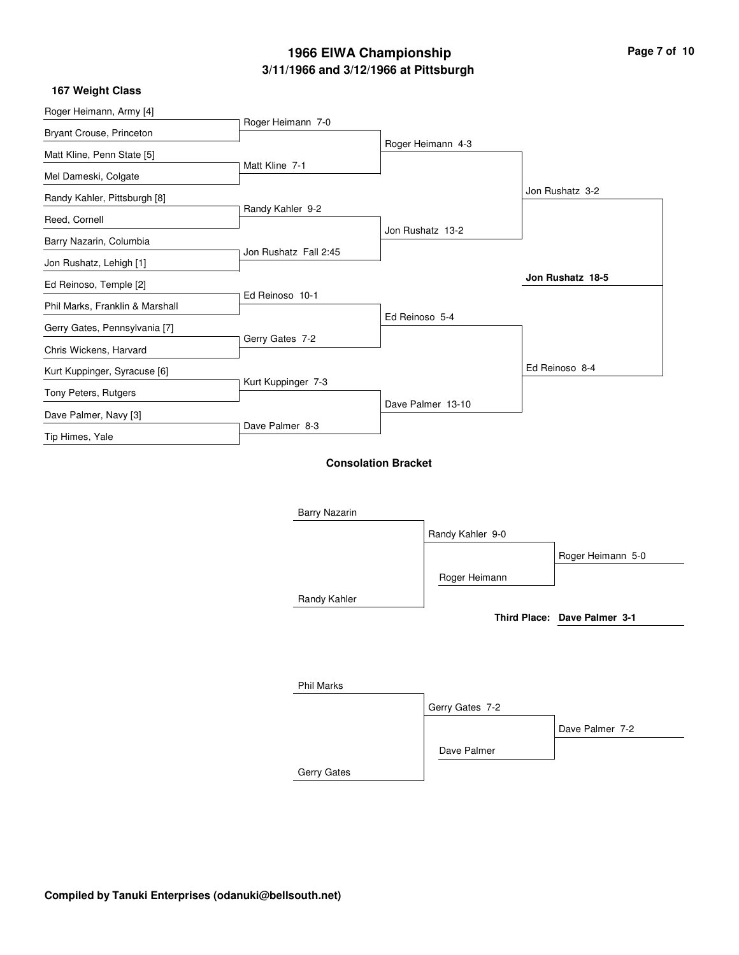| Page 7 of 10 |  |  |  |
|--------------|--|--|--|
|--------------|--|--|--|

| 167 Weight Class                |                       |                            |                   |                   |
|---------------------------------|-----------------------|----------------------------|-------------------|-------------------|
| Roger Heimann, Army [4]         |                       |                            |                   |                   |
| Bryant Crouse, Princeton        | Roger Heimann 7-0     |                            |                   |                   |
| Matt Kline, Penn State [5]      |                       |                            | Roger Heimann 4-3 |                   |
| Mel Dameski, Colgate            | Matt Kline 7-1        |                            |                   |                   |
| Randy Kahler, Pittsburgh [8]    |                       |                            |                   | Jon Rushatz 3-2   |
| Reed, Cornell                   | Randy Kahler 9-2      |                            |                   |                   |
| Barry Nazarin, Columbia         |                       |                            | Jon Rushatz 13-2  |                   |
| Jon Rushatz, Lehigh [1]         | Jon Rushatz Fall 2:45 |                            |                   |                   |
| Ed Reinoso, Temple [2]          |                       |                            |                   | Jon Rushatz 18-5  |
| Phil Marks, Franklin & Marshall | Ed Reinoso 10-1       |                            |                   |                   |
| Gerry Gates, Pennsylvania [7]   |                       | Ed Reinoso 5-4             |                   |                   |
| Chris Wickens, Harvard          | Gerry Gates 7-2       |                            |                   |                   |
| Kurt Kuppinger, Syracuse [6]    |                       |                            |                   | Ed Reinoso 8-4    |
| Tony Peters, Rutgers            | Kurt Kuppinger 7-3    |                            |                   |                   |
| Dave Palmer, Navy [3]           |                       |                            | Dave Palmer 13-10 |                   |
| Tip Himes, Yale                 | Dave Palmer 8-3       |                            |                   |                   |
|                                 |                       |                            |                   |                   |
|                                 |                       | <b>Consolation Bracket</b> |                   |                   |
|                                 |                       |                            |                   |                   |
|                                 | <b>Barry Nazarin</b>  |                            |                   |                   |
|                                 |                       |                            | Randy Kahler 9-0  |                   |
|                                 |                       |                            |                   | Roger Heimann 5-0 |
|                                 |                       |                            | Roger Heimann     |                   |
|                                 |                       |                            |                   |                   |

Randy Kahler

**Third Place: Dave Palmer 3-1**

| <b>Phil Marks</b> |                 |                 |
|-------------------|-----------------|-----------------|
|                   | Gerry Gates 7-2 |                 |
|                   |                 | Dave Palmer 7-2 |
|                   | Dave Palmer     |                 |
| Gerry Gates       |                 |                 |

**Compiled by Tanuki Enterprises (odanuki@bellsouth.net)**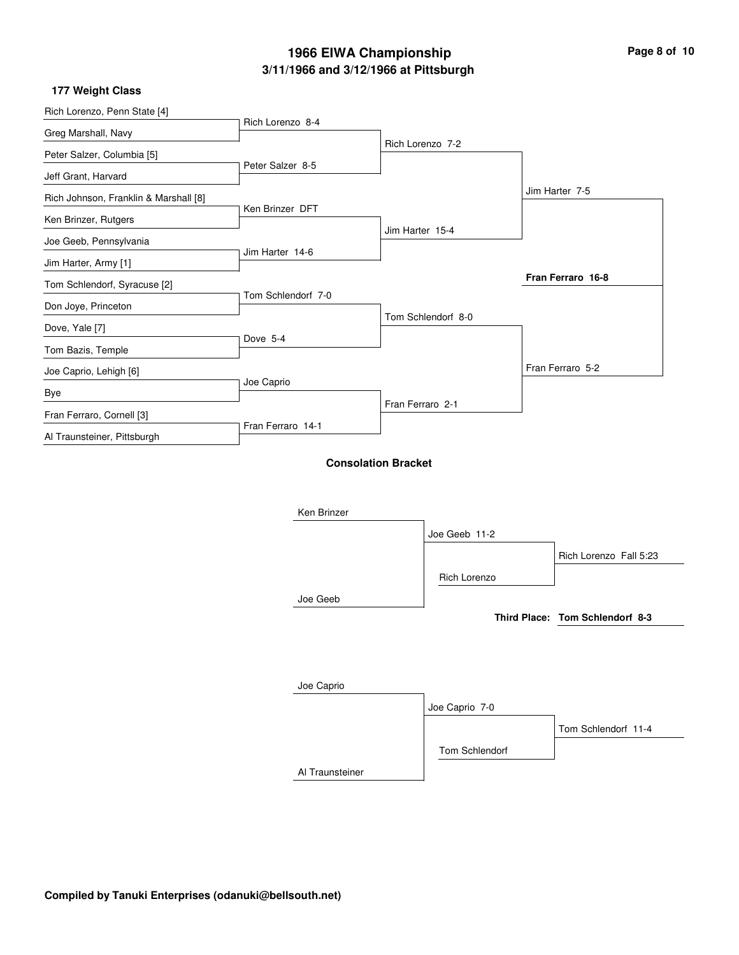| Page 8 of 10 |  |  |
|--------------|--|--|
|--------------|--|--|

### **177 Weight Class**

| Rich Lorenzo, Penn State [4]          | Rich Lorenzo 8-4   |                            |                    |                                 |
|---------------------------------------|--------------------|----------------------------|--------------------|---------------------------------|
| Greg Marshall, Navy                   |                    |                            |                    |                                 |
| Peter Salzer, Columbia [5]            |                    |                            | Rich Lorenzo 7-2   |                                 |
| Jeff Grant, Harvard                   | Peter Salzer 8-5   |                            |                    |                                 |
| Rich Johnson, Franklin & Marshall [8] |                    |                            |                    | Jim Harter 7-5                  |
| Ken Brinzer, Rutgers                  | Ken Brinzer DFT    |                            |                    |                                 |
| Joe Geeb, Pennsylvania                |                    | Jim Harter 15-4            |                    |                                 |
| Jim Harter, Army [1]                  | Jim Harter 14-6    |                            |                    |                                 |
| Tom Schlendorf, Syracuse [2]          |                    |                            |                    | Fran Ferraro 16-8               |
| Don Joye, Princeton                   | Tom Schlendorf 7-0 |                            |                    |                                 |
| Dove, Yale [7]                        |                    |                            | Tom Schlendorf 8-0 |                                 |
| Tom Bazis, Temple                     | Dove 5-4           |                            |                    |                                 |
| Joe Caprio, Lehigh [6]                |                    |                            |                    | Fran Ferraro 5-2                |
| Bye                                   | Joe Caprio         |                            |                    |                                 |
| Fran Ferraro, Cornell [3]             |                    | Fran Ferraro 2-1           |                    |                                 |
| Al Traunsteiner, Pittsburgh           | Fran Ferraro 14-1  |                            |                    |                                 |
|                                       |                    | <b>Consolation Bracket</b> |                    |                                 |
|                                       |                    |                            |                    |                                 |
|                                       |                    |                            |                    |                                 |
|                                       | Ken Brinzer        |                            |                    |                                 |
|                                       |                    |                            | Joe Geeb 11-2      |                                 |
|                                       |                    |                            |                    | Rich Lorenzo Fall 5:23          |
|                                       |                    |                            | Rich Lorenzo       |                                 |
|                                       | Joe Geeb           |                            |                    |                                 |
|                                       |                    |                            |                    | Third Place: Tom Schlendorf 8-3 |
|                                       |                    |                            |                    |                                 |
|                                       |                    |                            |                    |                                 |
|                                       | Joe Caprio         |                            |                    |                                 |
|                                       |                    |                            | Joe Caprio 7-0     |                                 |
|                                       |                    |                            |                    | Tom Schlendorf 11-4             |

Tom Schlendorf

Al Traunsteiner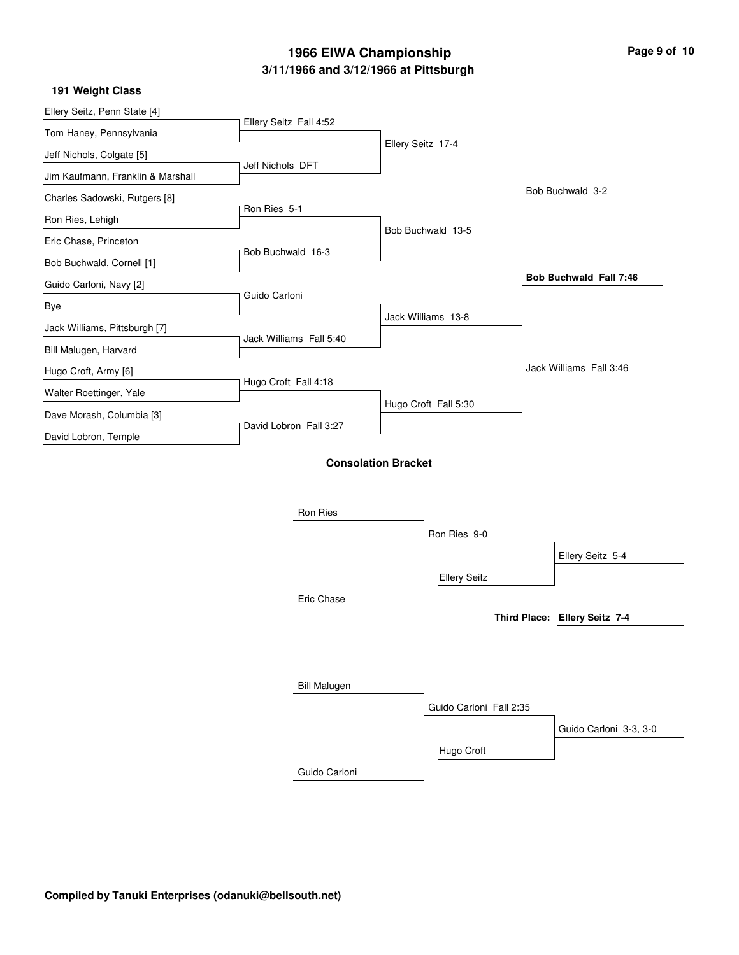|  | Page 9 of 10 |  |  |  |
|--|--------------|--|--|--|
|--|--------------|--|--|--|

### **191 Weight Class**

|                        |                                                                                                                             |                                                                                            | Bob Buchwald 3-2              |
|------------------------|-----------------------------------------------------------------------------------------------------------------------------|--------------------------------------------------------------------------------------------|-------------------------------|
|                        |                                                                                                                             |                                                                                            |                               |
|                        |                                                                                                                             |                                                                                            |                               |
|                        |                                                                                                                             |                                                                                            |                               |
|                        |                                                                                                                             |                                                                                            | <b>Bob Buchwald Fall 7:46</b> |
|                        |                                                                                                                             |                                                                                            |                               |
|                        |                                                                                                                             |                                                                                            |                               |
|                        |                                                                                                                             |                                                                                            |                               |
|                        |                                                                                                                             |                                                                                            | Jack Williams Fall 3:46       |
| Hugo Croft Fall 4:18   |                                                                                                                             |                                                                                            |                               |
|                        | Hugo Croft Fall 5:30                                                                                                        |                                                                                            |                               |
| David Lobron Fall 3:27 |                                                                                                                             |                                                                                            |                               |
|                        |                                                                                                                             |                                                                                            |                               |
|                        |                                                                                                                             |                                                                                            |                               |
|                        |                                                                                                                             |                                                                                            |                               |
| Ron Ries               |                                                                                                                             |                                                                                            |                               |
|                        | Ron Ries 9-0                                                                                                                |                                                                                            |                               |
|                        |                                                                                                                             |                                                                                            | Ellery Seitz 5-4              |
|                        | <b>Ellery Seitz</b>                                                                                                         |                                                                                            |                               |
| Eric Chase             |                                                                                                                             |                                                                                            |                               |
|                        |                                                                                                                             |                                                                                            | Third Place: Ellery Seitz 7-4 |
|                        |                                                                                                                             |                                                                                            |                               |
|                        |                                                                                                                             |                                                                                            |                               |
|                        | Ellery Seitz Fall 4:52<br>Jeff Nichols DFT<br>Ron Ries 5-1<br>Bob Buchwald 16-3<br>Guido Carloni<br>Jack Williams Fall 5:40 | Ellery Seitz 17-4<br>Bob Buchwald 13-5<br>Jack Williams 13-8<br><b>Consolation Bracket</b> |                               |

| <b>Bill Malugen</b> |                         |                        |
|---------------------|-------------------------|------------------------|
|                     | Guido Carloni Fall 2:35 |                        |
|                     |                         | Guido Carloni 3-3, 3-0 |
|                     | Hugo Croft              |                        |
| Guido Carloni       |                         |                        |

**Compiled by Tanuki Enterprises (odanuki@bellsouth.net)**